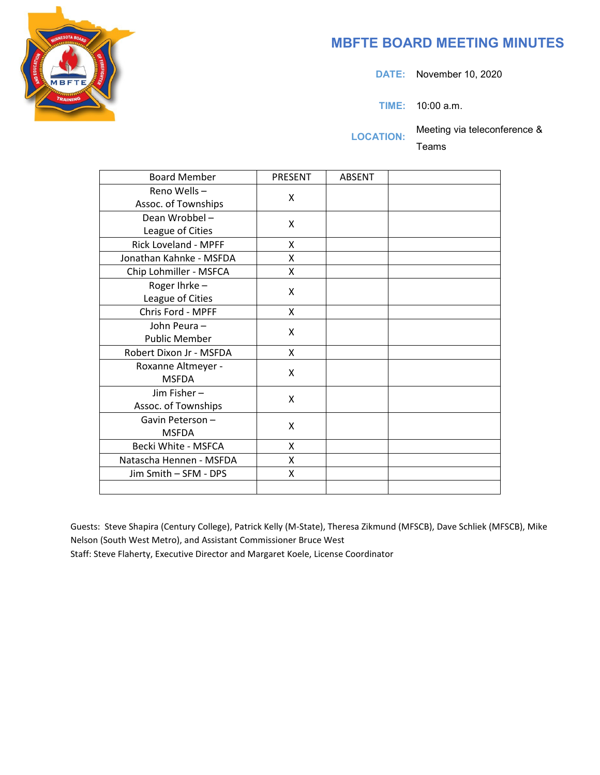

## **MBFTE BOARD MEETING MINUTES**

**DATE:** November 10, 2020

**TIME:** 10:00 a.m.

**LOCATION:** Meeting via teleconference &

Teams

| <b>Board Member</b>     | <b>PRESENT</b> | <b>ABSENT</b> |  |
|-------------------------|----------------|---------------|--|
| Reno Wells-             | X              |               |  |
| Assoc. of Townships     |                |               |  |
| Dean Wrobbel-           | Χ              |               |  |
| League of Cities        |                |               |  |
| Rick Loveland - MPFF    | X              |               |  |
| Jonathan Kahnke - MSFDA | X              |               |  |
| Chip Lohmiller - MSFCA  | X              |               |  |
| Roger Ihrke-            | X              |               |  |
| League of Cities        |                |               |  |
| Chris Ford - MPFF       | X              |               |  |
| John Peura-             | X              |               |  |
| <b>Public Member</b>    |                |               |  |
| Robert Dixon Jr - MSFDA | X              |               |  |
| Roxanne Altmeyer -      | X              |               |  |
| <b>MSFDA</b>            |                |               |  |
| Jim Fisher-             | X              |               |  |
| Assoc. of Townships     |                |               |  |
| Gavin Peterson-         | X              |               |  |
| <b>MSFDA</b>            |                |               |  |
| Becki White - MSFCA     | X              |               |  |
| Natascha Hennen - MSFDA | X              |               |  |
| Jim Smith - SFM - DPS   | Χ              |               |  |
|                         |                |               |  |

Guests: Steve Shapira (Century College), Patrick Kelly (M-State), Theresa Zikmund (MFSCB), Dave Schliek (MFSCB), Mike Nelson (South West Metro), and Assistant Commissioner Bruce West

Staff: Steve Flaherty, Executive Director and Margaret Koele, License Coordinator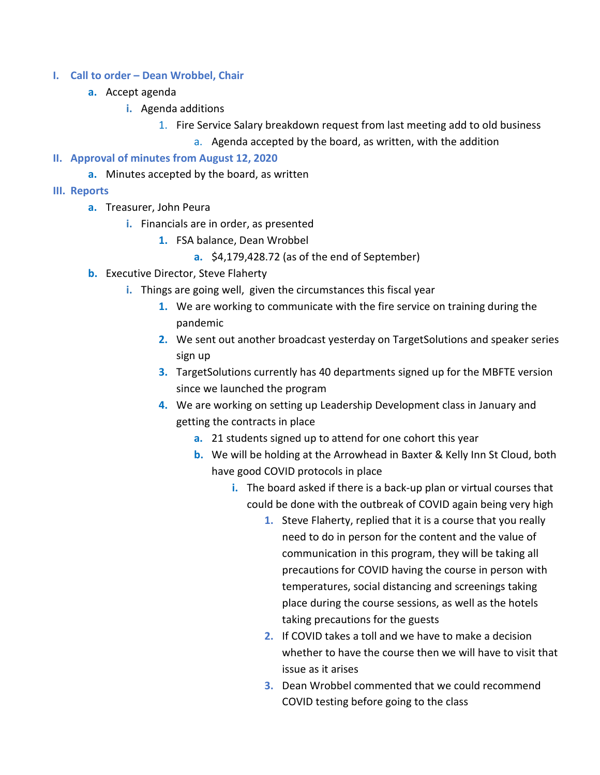- **I. Call to order – Dean Wrobbel, Chair** 
	- **a.** Accept agenda
		- **i.** Agenda additions
			- 1. Fire Service Salary breakdown request from last meeting add to old business
				- a. Agenda accepted by the board, as written, with the addition

## **II. Approval of minutes from August 12, 2020**

- **a.** Minutes accepted by the board, as written
- **III. Reports**
	- **a.** Treasurer, John Peura
		- **i.** Financials are in order, as presented
			- **1.** FSA balance, Dean Wrobbel
				- **a.** \$4,179,428.72 (as of the end of September)
	- **b.** Executive Director, Steve Flaherty
		- **i.** Things are going well, given the circumstances this fiscal year
			- **1.** We are working to communicate with the fire service on training during the pandemic
			- **2.** We sent out another broadcast yesterday on TargetSolutions and speaker series sign up
			- **3.** TargetSolutions currently has 40 departments signed up for the MBFTE version since we launched the program
			- **4.** We are working on setting up Leadership Development class in January and getting the contracts in place
				- **a.** 21 students signed up to attend for one cohort this year
				- **b.** We will be holding at the Arrowhead in Baxter & Kelly Inn St Cloud, both have good COVID protocols in place
					- **i.** The board asked if there is a back-up plan or virtual courses that could be done with the outbreak of COVID again being very high
						- **1.** Steve Flaherty, replied that it is a course that you really need to do in person for the content and the value of communication in this program, they will be taking all precautions for COVID having the course in person with temperatures, social distancing and screenings taking place during the course sessions, as well as the hotels taking precautions for the guests
						- **2.** If COVID takes a toll and we have to make a decision whether to have the course then we will have to visit that issue as it arises
						- **3.** Dean Wrobbel commented that we could recommend COVID testing before going to the class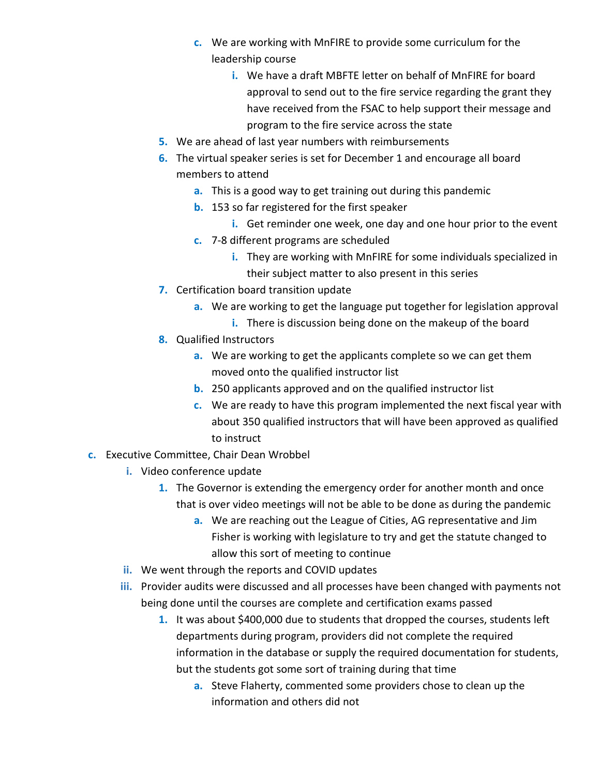- **c.** We are working with MnFIRE to provide some curriculum for the leadership course
	- **i.** We have a draft MBFTE letter on behalf of MnFIRE for board approval to send out to the fire service regarding the grant they have received from the FSAC to help support their message and program to the fire service across the state
- **5.** We are ahead of last year numbers with reimbursements
- **6.** The virtual speaker series is set for December 1 and encourage all board members to attend
	- **a.** This is a good way to get training out during this pandemic
	- **b.** 153 so far registered for the first speaker
		- **i.** Get reminder one week, one day and one hour prior to the event
	- **c.** 7-8 different programs are scheduled
		- **i.** They are working with MnFIRE for some individuals specialized in their subject matter to also present in this series
- **7.** Certification board transition update
	- **a.** We are working to get the language put together for legislation approval
		- **i.** There is discussion being done on the makeup of the board
- **8.** Qualified Instructors
	- **a.** We are working to get the applicants complete so we can get them moved onto the qualified instructor list
	- **b.** 250 applicants approved and on the qualified instructor list
	- **c.** We are ready to have this program implemented the next fiscal year with about 350 qualified instructors that will have been approved as qualified to instruct
- **c.** Executive Committee, Chair Dean Wrobbel
	- **i.** Video conference update
		- **1.** The Governor is extending the emergency order for another month and once that is over video meetings will not be able to be done as during the pandemic
			- **a.** We are reaching out the League of Cities, AG representative and Jim Fisher is working with legislature to try and get the statute changed to allow this sort of meeting to continue
	- **ii.** We went through the reports and COVID updates
	- **iii.** Provider audits were discussed and all processes have been changed with payments not being done until the courses are complete and certification exams passed
		- **1.** It was about \$400,000 due to students that dropped the courses, students left departments during program, providers did not complete the required information in the database or supply the required documentation for students, but the students got some sort of training during that time
			- **a.** Steve Flaherty, commented some providers chose to clean up the information and others did not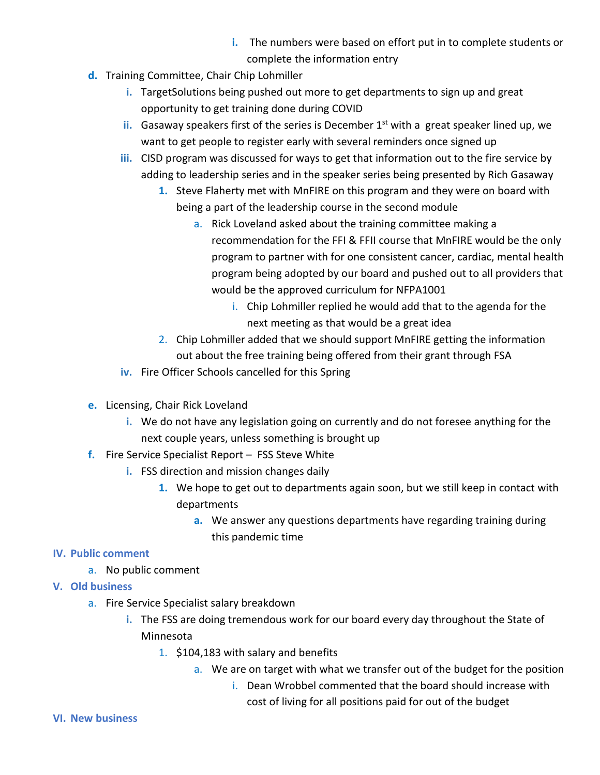- **i.** The numbers were based on effort put in to complete students or complete the information entry
- **d.** Training Committee, Chair Chip Lohmiller
	- **i.** TargetSolutions being pushed out more to get departments to sign up and great opportunity to get training done during COVID
	- ii. Gasaway speakers first of the series is December 1<sup>st</sup> with a great speaker lined up, we want to get people to register early with several reminders once signed up
	- **iii.** CISD program was discussed for ways to get that information out to the fire service by adding to leadership series and in the speaker series being presented by Rich Gasaway
		- **1.** Steve Flaherty met with MnFIRE on this program and they were on board with being a part of the leadership course in the second module
			- a. Rick Loveland asked about the training committee making a recommendation for the FFI & FFII course that MnFIRE would be the only program to partner with for one consistent cancer, cardiac, mental health program being adopted by our board and pushed out to all providers that would be the approved curriculum for NFPA1001
				- i. Chip Lohmiller replied he would add that to the agenda for the next meeting as that would be a great idea
		- 2. Chip Lohmiller added that we should support MnFIRE getting the information out about the free training being offered from their grant through FSA
	- **iv.** Fire Officer Schools cancelled for this Spring
- **e.** Licensing, Chair Rick Loveland
	- **i.** We do not have any legislation going on currently and do not foresee anything for the next couple years, unless something is brought up
- **f.** Fire Service Specialist Report FSS Steve White
	- **i.** FSS direction and mission changes daily
		- **1.** We hope to get out to departments again soon, but we still keep in contact with departments
			- **a.** We answer any questions departments have regarding training during this pandemic time

## **IV. Public comment**

- a. No public comment
- **V. Old business**
	- a. Fire Service Specialist salary breakdown
		- **i.** The FSS are doing tremendous work for our board every day throughout the State of Minnesota
			- 1. \$104,183 with salary and benefits
				- a. We are on target with what we transfer out of the budget for the position
					- i. Dean Wrobbel commented that the board should increase with cost of living for all positions paid for out of the budget

## **VI. New business**